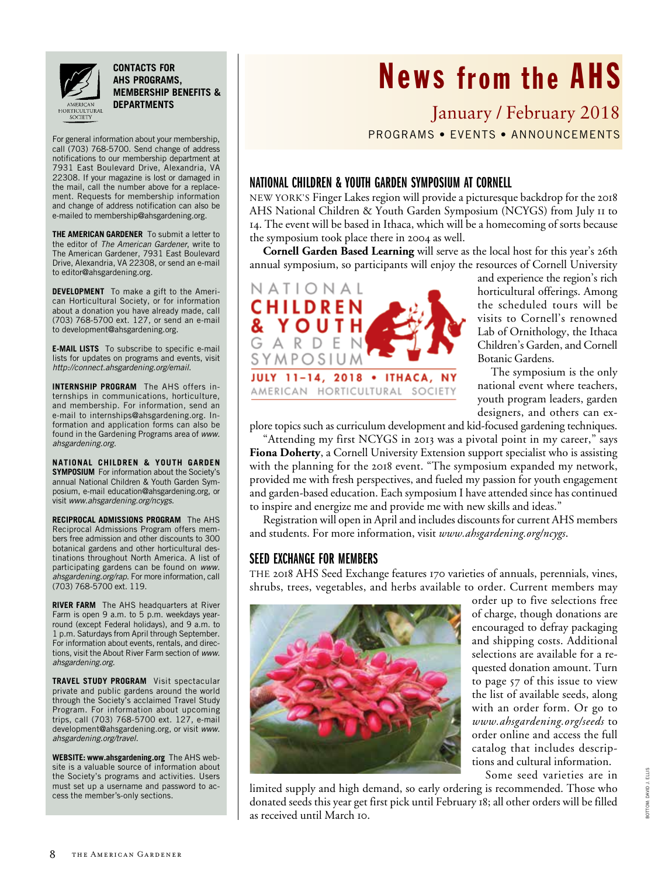

**contacts for AHS programs, membership benefits & departments**

For general information about your membership, call (703) 768-5700. Send change of address notifications to our membership department at 7931 East Boulevard Drive, Alexandria, VA 22308. If your magazine is lost or damaged in the mail, call the number above for a replacement. Requests for membership information and change of address notification can also be e-mailed to membership@ahsgardening.org.

**THE AMERICAN GARDENER** To submit a letter to the editor of *The American Gardener*, write to The American Gardener, 7931 East Boulevard Drive, Alexandria, VA 22308, or send an e-mail to editor@ahsgardening.org.

**DEVELOPMENT** To make a gift to the American Horticultural Society, or for information about a donation you have already made, call (703) 768-5700 ext. 127, or send an e-mail to development@ahsgardening.org.

**E-MAIL LISTS** To subscribe to specific e-mail lists for updates on programs and events, visit *http://connect.ahsgardening.org/email*.

**INTERNSHIP PROGRAM** The AHS offers internships in communications, horticulture, and membership. For information, send an e-mail to internships@ahsgardening.org. Information and application forms can also be found in the Gardening Programs area of *www. ahsgardening.org*.

**NATIONAL CHILDREN & YOUTH GARDEN SYMPOSIUM** For information about the Society's annual National Children & Youth Garden Symposium, e-mail education@ahsgardening.org, or visit *www.ahsgardening.org/ncygs*.

**RECIPROCAL ADMISSIONS PROGRAM** The AHS Reciprocal Admissions Program offers members free admission and other discounts to 300 botanical gardens and other horticultural destinations throughout North America. A list of participating gardens can be found on *www. ahsgardening.org/rap*. For more information, call (703) 768-5700 ext. 119.

**RIVER FARM** The AHS headquarters at River Farm is open 9 a.m. to 5 p.m. weekdays yearround (except Federal holidays), and 9 a.m. to 1 p.m. Saturdays from April through September. For information about events, rentals, and directions, visit the About River Farm section of *www. ahsgardening.org*.

**TRAVEL STUDY PROGRAM** Visit spectacular private and public gardens around the world through the Society's acclaimed Travel Study Program. For information about upcoming trips, call (703) 768-5700 ext. 127, e-mail development@ahsgardening.org, or visit *www. ahsgardening.org/travel*.

**WEBSITE: www.ahsgardening.org** The AHS website is a valuable source of information about the Society's programs and activities. Users must set up a username and password to access the member's-only sections.

# News from the AHS

January / February 2018 Programs • Events • ANNOUNCEMENTS

## National Children & Youth Garden Symposium at cornell

New York's Finger Lakes region will provide a picturesque backdrop for the 2018 AHS National Children & Youth Garden Symposium (NCYGS) from July 11 to 14. The event will be based in Ithaca, which will be a homecoming of sorts because the symposium took place there in 2004 as well.

**Cornell Garden Based Learning** will serve as the local host for this year's 26th annual symposium, so participants will enjoy the resources of Cornell University



and experience the region's rich horticultural offerings. Among the scheduled tours will be visits to Cornell's renowned Lab of Ornithology, the Ithaca Children's Garden, and Cornell Botanic Gardens.

The symposium is the only national event where teachers, youth program leaders, garden designers, and others can ex-

plore topics such as curriculum development and kid-focused gardening techniques.

"Attending my first NCYGS in 2013 was a pivotal point in my career," says **Fiona Doherty**, a Cornell University Extension support specialist who is assisting with the planning for the 2018 event. "The symposium expanded my network, provided me with fresh perspectives, and fueled my passion for youth engagement and garden-based education. Each symposium I have attended since has continued to inspire and energize me and provide me with new skills and ideas."

Registration will open in April and includes discounts for current AHS members and students. For more information, visit *www.ahsgardening.org/ncygs*.

### Seed Exchange For Members

The 2018 AHS Seed Exchange features 170 varieties of annuals, perennials, vines, shrubs, trees, vegetables, and herbs available to order. Current members may



order up to five selections free of charge, though donations are encouraged to defray packaging and shipping costs. Additional selections are available for a requested donation amount. Turn to page 57 of this issue to view the list of available seeds, along with an order form. Or go to *www.ahsgardening.org/seeds* to order online and access the full catalog that includes descriptions and cultural information.

Some seed varieties are in

limited supply and high demand, so early ordering is recommended. Those who donated seeds this year get first pick until February 18; all other orders will be filled as received until March 10.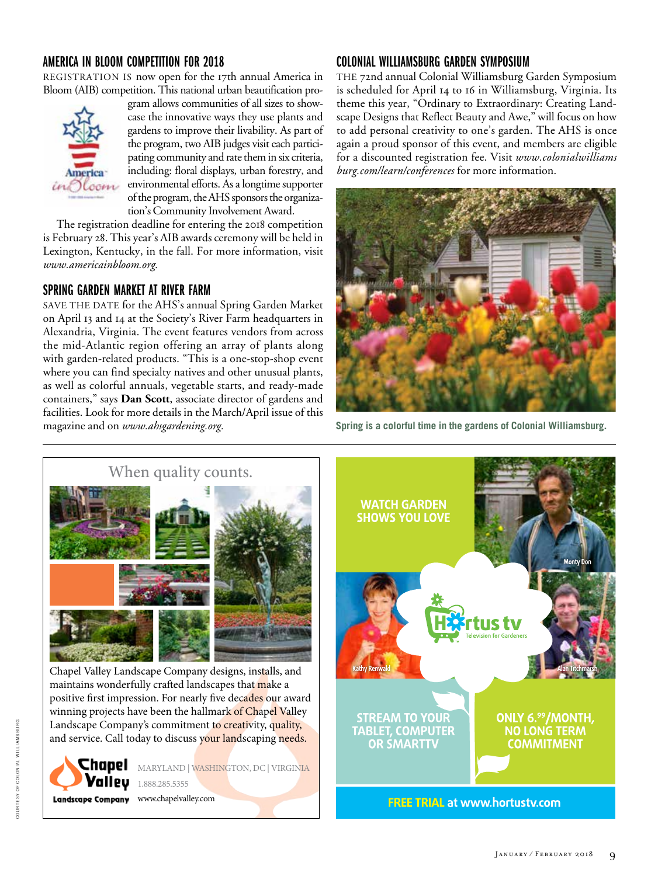## America in Bloom Competition for 2018

REGISTRATION IS now open for the 17th annual America in Bloom (AIB) competition. This national urban beautification pro-



gram allows communities of all sizes to showcase the innovative ways they use plants and gardens to improve their livability. As part of the program, two AIB judges visit each participating community and rate them in six criteria, including: floral displays, urban forestry, and environmental efforts. As a longtime supporter of the program, the AHS sponsors the organization's Community Involvement Award.

The registration deadline for entering the 2018 competition is February 28. This year's AIB awards ceremony will be held in Lexington, Kentucky, in the fall. For more information, visit *www.americainbloom.org.* 

### Spring Garden Market at River Farm

SAVE THE DATE for the AHS's annual Spring Garden Market on April 13 and 14 at the Society's River Farm headquarters in Alexandria, Virginia. The event features vendors from across the mid-Atlantic region offering an array of plants along with garden-related products. "This is a one-stop-shop event where you can find specialty natives and other unusual plants, as well as colorful annuals, vegetable starts, and ready-made containers," says **Dan Scott**, associate director of gardens and facilities. Look for more details in the March/April issue of this magazine and on *www.ahsgardening.org.*

## Colonial Williamsburg Garden Symposium

The 72nd annual Colonial Williamsburg Garden Symposium is scheduled for April 14 to 16 in Williamsburg, Virginia. Its theme this year, "Ordinary to Extraordinary: Creating Landscape Designs that Reflect Beauty and Awe," will focus on how to add personal creativity to one's garden. The AHS is once again a proud sponsor of this event, and members are eligible for a discounted registration fee. Visit *www.colonialwilliams burg.com/learn/conferences* for more information.



**Spring is a colorful time in the gardens of Colonial Williamsburg.**



Chapel Valley Landscape Company designs, installs, and maintains wonderfully crafted landscapes that make a positive first impression. For nearly five decades our award winning projects have been the hallmark of Chapel Valley Landscape Company's commitment to creativity, quality, and service. Call today to discuss your landscaping needs.



MARYLAND | WASHINGTON, DC | VIRGINIA

Landscape Company www.chapelvalley.com